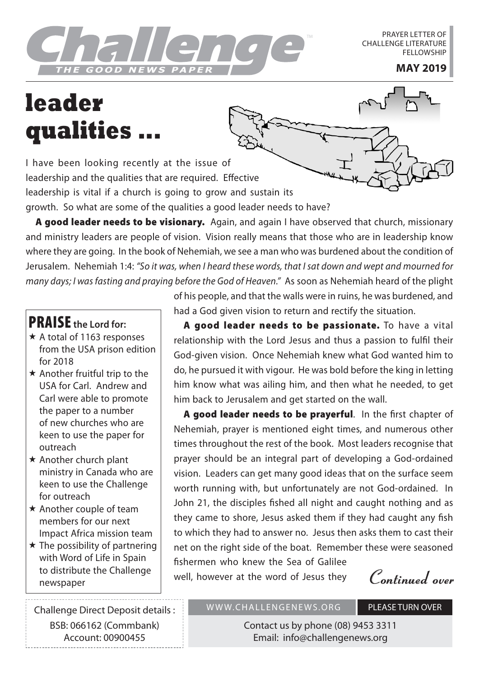GOOD NEWS PAPER TWO MAY 2019

PRAYER LETTER OF CHALLENGE LITERATURE **FELLOWSHIP** 

## **leader qualities ...**

I have been looking recently at the issue of leadership and the qualities that are required. Effective leadership is vital if a church is going to grow and sustain its growth. So what are some of the qualities a good leader needs to have?

A good leader needs to be visionary. Again, and again I have observed that church, missionary and ministry leaders are people of vision. Vision really means that those who are in leadership know where they are going. In the book of Nehemiah, we see a man who was burdened about the condition of Jerusalem. Nehemiah 1:4: *"So it was, when I heard these words, that I sat down and wept and mourned for many days; I was fasting and praying before the God of Heaven."* As soon as Nehemiah heard of the plight

## PRAISE **the Lord for:**

- \* A total of 1163 responses from the USA prison edition for 2018
- $\star$  Another fruitful trip to the USA for Carl. Andrew and Carl were able to promote the paper to a number of new churches who are keen to use the paper for outreach
- $\star$  Another church plant ministry in Canada who are keen to use the Challenge for outreach
- $\star$  Another couple of team members for our next Impact Africa mission team
- $\star$  The possibility of partnering with Word of Life in Spain to distribute the Challenge

Challenge Direct Deposit details : BSB: 066162 (Commbank) Account: 00900455

of his people, and that the walls were in ruins, he was burdened, and had a God given vision to return and rectify the situation.

A good leader needs to be passionate. To have a vital relationship with the Lord Jesus and thus a passion to fulfil their God-given vision. Once Nehemiah knew what God wanted him to do, he pursued it with vigour. He was bold before the king in letting him know what was ailing him, and then what he needed, to get him back to Jerusalem and get started on the wall.

A good leader needs to be prayerful. In the first chapter of Nehemiah, prayer is mentioned eight times, and numerous other times throughout the rest of the book. Most leaders recognise that prayer should be an integral part of developing a God-ordained vision. Leaders can get many good ideas that on the surface seem worth running with, but unfortunately are not God-ordained. In John 21, the disciples fished all night and caught nothing and as they came to shore, Jesus asked them if they had caught any fish to which they had to answer no. Jesus then asks them to cast their net on the right side of the boat. Remember these were seasoned fishermen who knew the Sea of Galilee

to distribute the Challenge **Notain Engleme well, however at the word of Jesus they** *Continued over*<br>newspaper

WWW.CHALLENGENEWS.ORG PLEASE TURN OVER

Contact us by phone (08) 9453 3311 Email: info@challengenews.org